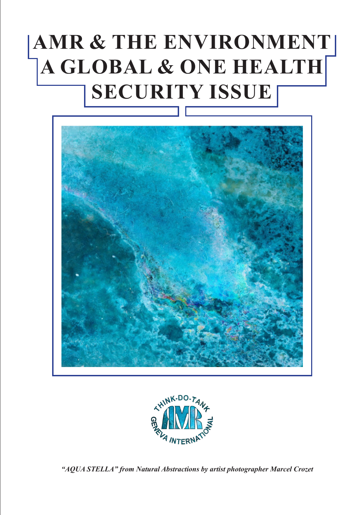## **AMR & THE ENVIRONMENT A GLOBAL & ONE HEALTH SECURITY ISSUE**





*"AQUA STELLA" from Natural Abstractions by artist photographer Marcel Crozet*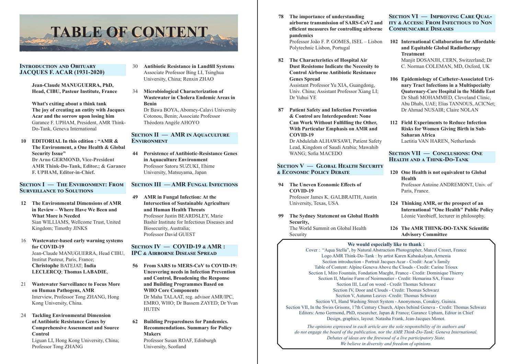**78 The importance of understanding airborne transmission of SARS-CoV2 and efficient measures for controlling airborne pandemics**

Professor João F. P. GOMES, ISEL – Lisbon Polytechnic Lisbon, Portugal

- **82 The Characteristics of Hospital Air Dust Resistome Indicate the Necessity to Control Airborne Antibiotic Resistance Genes Spread** Assistant Professor Yu XIA, Guangdong, Univ. China; Assistant Professor Xiang LI; Dr Yuhui YE
- **87 Patient Safety and Infection Prevention & Control are Interdependent: None Can Work Without Fulfilling the Other, With Particular Emphasis on AMR and COVID-19**

Dr Abdulelah ALHAWSAWI, Patient Safety Lead, Kingdom of Saudi Arabia; Mawahib WANG; Sofia MACEDO

## **Section V — Global Health Security & Economic Policy Debate**

## **94 The Uneven Economic Effects of COVID-19**

Professor James K. GALBRAITH, Austin University, Texas, USA

**99 The Sydney Statement on Global Health Security,** 

The World Summit on Global Health Security

**Section VI — Improving Care Quality & Access: From Infectious to Non Communicable Diseases**

**102 International Collaboration for Affordable and Equitable Global Radiotherapy Treatment**

Manjit DOSANJH, CERN, Switzerland; Dr C. Norman COLEMAN, MD, Oxford, UK

- **106 Epidemiology of Catheter-Associated Urinary Tract Infections in a Multispecialty Quaternary-Care Hospital in the Middle East** Dr Shafi MOHAMMED, Cleveland Clinic, Abu Dhabi, UAE; Elias TANNOUS, ACICNet; Dr Ahmad NUSAIR; Claire NOLAN
- **112 Field Experiments to Reduce Infection Risks for Women Giving Birth in Sub-Saharan Africa** Laetitia VAN HAREN, Netherlands

## **Section VII — Conclusions: One Health and a Think-Do-Tank**

- **120 One Health is not equivalent to Global Health** Professor Antoine ANDREMONT, Univ. of Paris, France.
- **124 Thinking AMR, or the prospect of an International "One Health" Public Policy** Léonie Varobieff, lecturer in philosophy.

#### **126 The AMR THINK-DO-TANK Scientific Advisory Committee**

## **We would especially like to thank :**

Cover : "Aqua Stella", by Natural Abstraction Photographer, Marcel Crozet, France Logo AMR Think-Do-Tank : by artist Karen Kabaskalyan, Armenia Section introduction - Portrait Jacques Acar - Credit: Acar's family Table of Content: Alpine Geneva Above the Clouds - Credit: Carine Trioux Section I, Miro Fountain, Fondation Maeght, France - Credit: Dominique Thierry Section II, Marine Farm of Noirmoutier - Credit: Hemarina SA, France Section III, Leaf on wood - Credit Thomas Schwarz Section IV, Door and Clouds - Credit: Thomas Schwarz Section V, Autumn Leaves -Credit: Thomas Schwarz Section VI, Hand Washing Street System - Anonymous, Conakry, Guinea. Section VII, In the Swiss Grisons, 17th Century Church, Alpes behind Geneva - Credit: Thomas Schwarz Editors: Arno Germond, PhD, researcher, Japan & France; Garance Upham, Editor in Chief Design, graphics, layout: Natasha Frank, Jean-Jacques Monot. *The opinions expressed in each article are the sole responsibility of its authors and do not engage the board of the publication, nor the AMR Think-Do-Tank; Geneva International.*

*Debates of ideas are the firewood of a live participatory State. We believe in diversity and freedom of opinions.*

## **Introduction and Obituary JACQUES F. ACAR (1931-2020)**

**Jean-Claude MANUGUERRA, PhD, Head, CIBU, Pasteur Institute, France**

**What's exiting about a think tank The joy of creating an entity with Jacques Acar and the sorrow upon losing him** Garance F. UPHAM, President, AMR Think-Do-Tank, Geneva International

**10 EDITORIAL In this edition : "AMR & The Environment, a One Health & Global Security Issue" Dr Arno GERMOND, Vice-President AMR Think-Do-Tank, Editor.; & Garance F. UPHAM, Editor-in-Chief.**

## **Section I — The Environment: From Surveillance to Solutions**

- **12 The Environmental Dimensions of AMR in Review – Where Have We Been and What More is Needed** Sian WILLIAMS, Wellcome Trust, United Kingdom; Timothy JINKS
- 16 **Wastewater-based early warning systems for COVID-19** Jean-Claude MANUGUERRA, Head CIBU, Institut Pasteur, Paris, France; **Christophe** BATEJAT; **India LECLERCQ**; **Thomas LABADIE**,
- 21 **Wastewater Surveillance to Focus More on Human Pathogens, AMR** Interview, Professor Tong ZHANG, Hong Kong University, China.
- 24 **Tackling Environmental Dimension of Antibiotic Resistance Genes by Comprehensive Assessment and Source Control**

Liguan LI, Hong Kong University, China; Professor Tong ZHANG

- 30 **Antibiotic Resistance in Landfill Systems** Associate Professor Bing LI, Tsinghua University, China; Renxin ZHAO
- 34 **Microbiological Characterization of Wastewater in Cholera Endemic Areas in Benin** Dr Bawa BOYA, Abomey-Calavi University Cotonou, Benin; Associate Professor Théodora Angèle AHOYO

## **Section II — AMR in Aquaculture Environment**

**44 Persistence of Antibiotic-Resistance Genes in Aquaculture Environment** Professor Satoru SUZUKI, Ehime University, Matsuyama, Japan

## **Section III — AMR Fungal Infections**

**49 AMR in Fungal Infection: At the Intersection of Sustainable Agriculture and Human Health Threats** Professor Justin BEARDSLEY, Marie Bashir Institute for Infectious Diseases and Biosecurity, Australia; Professor David GUEST

## **Section IV — COVID-19 & AMR : IPC & Airborne Disease Spread**

- **56 From SARS to MERS-CoV to COVID-19: Uncovering needs in Infection Prevention and Control, Broadening the Response and Building Programmes Based on WHO Core Components** Dr Maha TALAAT, reg. advisor AMR/IPC, EMRO, WHO; Dr Bassem ZAYED; Dr Yvan HUTIN
- **62 Building Preparedness for Pandemics. Recommendations. Summary for Policy Makers**

Professor Susan ROAF, Edinburgh University, Scotland

# **TABLE OF CONTENT**